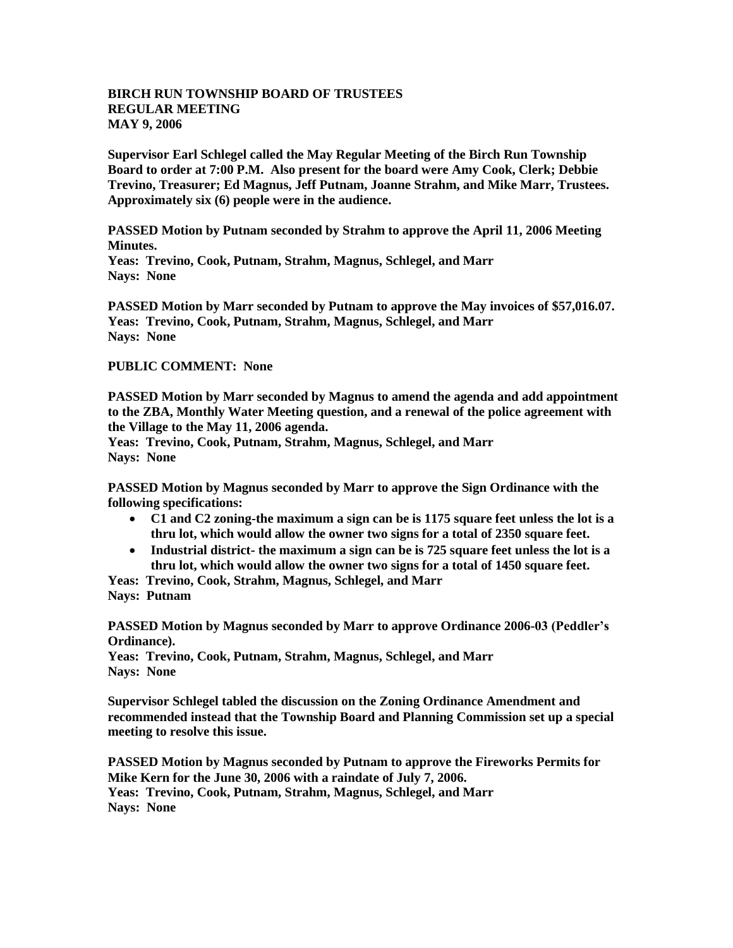## **BIRCH RUN TOWNSHIP BOARD OF TRUSTEES REGULAR MEETING MAY 9, 2006**

**Supervisor Earl Schlegel called the May Regular Meeting of the Birch Run Township Board to order at 7:00 P.M. Also present for the board were Amy Cook, Clerk; Debbie Trevino, Treasurer; Ed Magnus, Jeff Putnam, Joanne Strahm, and Mike Marr, Trustees. Approximately six (6) people were in the audience.** 

**PASSED Motion by Putnam seconded by Strahm to approve the April 11, 2006 Meeting Minutes.**

**Yeas: Trevino, Cook, Putnam, Strahm, Magnus, Schlegel, and Marr Nays: None**

**PASSED Motion by Marr seconded by Putnam to approve the May invoices of \$57,016.07. Yeas: Trevino, Cook, Putnam, Strahm, Magnus, Schlegel, and Marr Nays: None**

## **PUBLIC COMMENT: None**

**PASSED Motion by Marr seconded by Magnus to amend the agenda and add appointment to the ZBA, Monthly Water Meeting question, and a renewal of the police agreement with the Village to the May 11, 2006 agenda.**

**Yeas: Trevino, Cook, Putnam, Strahm, Magnus, Schlegel, and Marr Nays: None**

**PASSED Motion by Magnus seconded by Marr to approve the Sign Ordinance with the following specifications:**

- **C1 and C2 zoning-the maximum a sign can be is 1175 square feet unless the lot is a thru lot, which would allow the owner two signs for a total of 2350 square feet.**
- **Industrial district- the maximum a sign can be is 725 square feet unless the lot is a thru lot, which would allow the owner two signs for a total of 1450 square feet.**

**Yeas: Trevino, Cook, Strahm, Magnus, Schlegel, and Marr Nays: Putnam**

**PASSED Motion by Magnus seconded by Marr to approve Ordinance 2006-03 (Peddler's Ordinance).**

**Yeas: Trevino, Cook, Putnam, Strahm, Magnus, Schlegel, and Marr Nays: None**

**Supervisor Schlegel tabled the discussion on the Zoning Ordinance Amendment and recommended instead that the Township Board and Planning Commission set up a special meeting to resolve this issue.**

**PASSED Motion by Magnus seconded by Putnam to approve the Fireworks Permits for Mike Kern for the June 30, 2006 with a raindate of July 7, 2006. Yeas: Trevino, Cook, Putnam, Strahm, Magnus, Schlegel, and Marr Nays: None**